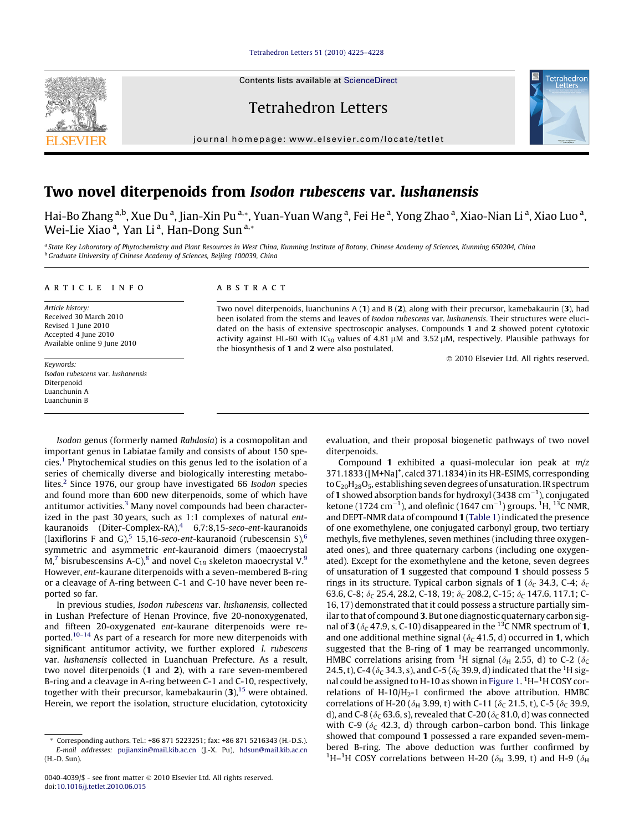#### [Tetrahedron Letters 51 \(2010\) 4225–4228](http://dx.doi.org/10.1016/j.tetlet.2010.06.015)

Contents lists available at [ScienceDirect](http://www.sciencedirect.com/science/journal/00404039)

Tetrahedron Letters

journal homepage: [www.elsevier.com/locate/tetlet](http://www.elsevier.com/locate/tetlet)



# Two novel diterpenoids from Isodon rubescens var. lushanensis

Hai-Bo Zhang <sup>a,b</sup>, Xue Du <sup>a</sup>, Jian-Xin Pu <sup>a,</sup>\*, Yuan-Yuan Wang <sup>a</sup>, Fei He <sup>a</sup>, Yong Zhao <sup>a</sup>, Xiao-Nian Li <sup>a</sup>, Xiao Luo <sup>a</sup>, Wei-Lie Xiao <sup>a</sup>, Yan Li <sup>a</sup>, Han-Dong Sun <sup>a,</sup>\*

a State Key Laboratory of Phytochemistry and Plant Resources in West China, Kunming Institute of Botany, Chinese Academy of Sciences, Kunming 650204, China  $b$  Graduate University of Chinese Academy of Sciences, Beijing 100039, China

#### article info

Article history: Received 30 March 2010 Revised 1 June 2010 Accepted 4 June 2010 Available online 9 June 2010

Keywords: Isodon rubescens var. lushanensis Diterpenoid Luanchunin A Luanchunin B

# ABSTRACT

Two novel diterpenoids, luanchunins A (1) and B (2), along with their precursor, kamebakaurin (3), had been isolated from the stems and leaves of Isodon rubescens var. lushanensis. Their structures were elucidated on the basis of extensive spectroscopic analyses. Compounds 1 and 2 showed potent cytotoxic activity against HL-60 with  $IC_{50}$  values of 4.81  $\mu$ M and 3.52  $\mu$ M, respectively. Plausible pathways for the biosynthesis of 1 and 2 were also postulated.

- 2010 Elsevier Ltd. All rights reserved.

Isodon genus (formerly named Rabdosia) is a cosmopolitan and important genus in Labiatae family and consists of about 150 species.[1](#page-3-0) Phytochemical studies on this genus led to the isolation of a series of chemically diverse and biologically interesting metabolites.<sup>2</sup> Since 1976, our group have investigated 66 Isodon species and found more than 600 new diterpenoids, some of which have antitumor activities. $3$  Many novel compounds had been characterized in the past 30 years, such as 1:1 complexes of natural entkauranoids (Diter-Complex-RA), $4$  6,7:8,15-seco-ent-kauranoids (laxiflorins F and G),<sup>[5](#page-3-0)</sup> 15,1[6](#page-3-0)-seco-ent-kauranoid (rubescensin S),<sup>6</sup> symmetric and asymmetric ent-kauranoid dimers (maoecrystal  $M<sub>1</sub>$ <sup>7</sup> bisrubescensins A-C),<sup>8</sup> and novel C<sub>1[9](#page-3-0)</sub> skeleton maoecrystal V.<sup>9</sup> However, ent-kaurane diterpenoids with a seven-membered B-ring or a cleavage of A-ring between C-1 and C-10 have never been reported so far.

In previous studies, Isodon rubescens var. lushanensis, collected in Lushan Prefecture of Henan Province, five 20-nonoxygenated, and fifteen 20-oxygenated ent-kaurane diterpenoids were reported[.10–14](#page-3-0) As part of a research for more new diterpenoids with significant antitumor activity, we further explored I. rubescens var. lushanensis collected in Luanchuan Prefecture. As a result, two novel diterpenoids (1 and 2), with a rare seven-membered B-ring and a cleavage in A-ring between C-1 and C-10, respectively, together with their precursor, kamebakaurin  $(3)$ ,  $^{15}$  $^{15}$  $^{15}$  were obtained. Herein, we report the isolation, structure elucidation, cytotoxicity evaluation, and their proposal biogenetic pathways of two novel diterpenoids.

Compound 1 exhibited a quasi-molecular ion peak at  $m/z$ 371.1833 ([M+Na]<sup>+</sup>, calcd 371.1834) in its HR-ESIMS, corresponding to  $C_{20}H_{28}O_5$ , establishing seven degrees of unsaturation. IR spectrum of 1 showed absorption bands for hydroxyl (3438 cm $^{-1}$ ), conjugated ketone (1724 cm $^{-1}$ ), and olefinic (1647 cm $^{-1}$ ) groups.  $^{1}$ H,  $^{13}$ C NMR, and DEPT-NMR data of compound 1 ([Table 1](#page-1-0)) indicated the presence of one exomethylene, one conjugated carbonyl group, two tertiary methyls, five methylenes, seven methines (including three oxygenated ones), and three quaternary carbons (including one oxygenated). Except for the exomethylene and the ketone, seven degrees of unsaturation of 1 suggested that compound 1 should possess 5 rings in its structure. Typical carbon signals of 1 ( $\delta$ <sub>C</sub> 34.3, C-4;  $\delta$ <sub>C</sub> 63.6, C-8;  $\delta$ <sub>C</sub> 25.4, 28.2, C-18, 19;  $\delta$ <sub>C</sub> 208.2, C-15;  $\delta$ <sub>C</sub> 147.6, 117.1; C-16, 17) demonstrated that it could possess a structure partially similar to that of compound 3. But one diagnostic quaternary carbon signal of 3 ( $\delta_c$  47.9, s, C-10) disappeared in the <sup>13</sup>C NMR spectrum of 1, and one additional methine signal ( $\delta_c$  41.5, d) occurred in 1, which suggested that the B-ring of 1 may be rearranged uncommonly. HMBC correlations arising from <sup>1</sup>H signal ( $\delta_H$  2.55, d) to C-2 ( $\delta_C$ 24.5, t), C-4 ( $\delta_C$  34.3, s), and C-5 ( $\delta_C$  39.9, d) indicated that the <sup>1</sup>H sig-nal could be assigned to H-10 as shown in [Figure 1.](#page-1-0) <sup>1</sup>H-<sup>1</sup>H COSY correlations of H-10/H<sub>2</sub>-1 confirmed the above attribution. HMBC correlations of H-20 ( $\delta_H$  3.99, t) with C-11 ( $\delta_C$  21.5, t), C-5 ( $\delta_C$  39.9, d), and C-8 ( $\delta$ <sub>C</sub> 63.6, s), revealed that C-20 ( $\delta$ <sub>C</sub> 81.0, d) was connected with C-9 ( $\delta_c$  42.3, d) through carbon–carbon bond. This linkage showed that compound 1 possessed a rare expanded seven-membered B-ring. The above deduction was further confirmed by <sup>1</sup>H-<sup>1</sup>H COSY correlations between H-20 ( $\delta$ <sub>H</sub> 3.99, t) and H-9 ( $\delta$ <sub>H</sub>

<sup>\*</sup> Corresponding authors. Tel.: +86 871 5223251; fax: +86 871 5216343 (H.-D.S.). E-mail addresses: [pujianxin@mail.kib.ac.cn](mailto:pujianxin@mail.kib.ac.cn) (J.-X. Pu), [hdsun@mail.kib.ac.cn](mailto:hdsun@mail.kib.ac.cn    ) (H.-D. Sun).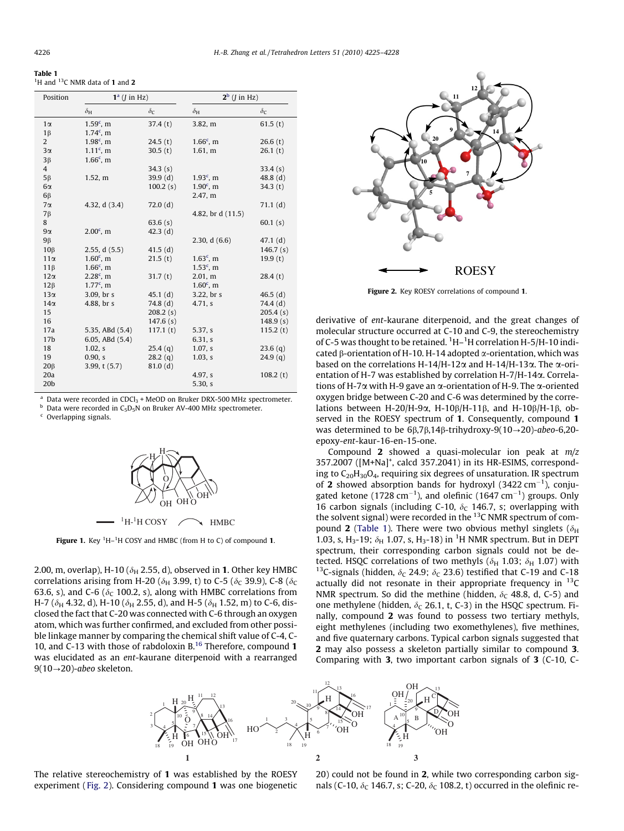<span id="page-1-0"></span>

| Table 1 |                                                                      |  |
|---------|----------------------------------------------------------------------|--|
|         | <sup>1</sup> H and <sup>13</sup> C NMR data of <b>1</b> and <b>2</b> |  |

| Position        | $1^a$ ( <i>I</i> in Hz) |            | $2^b$ ( <i>I</i> in Hz) |            |
|-----------------|-------------------------|------------|-------------------------|------------|
|                 | $\delta_{\rm H}$        | $\delta$ c | $\delta_{\rm H}$        | $\delta c$ |
| $1\alpha$       | $1.59^c$ , m            | 37.4(t)    | 3.82, m                 | 61.5(t)    |
| $1\beta$        | $1.74^c$ , m            |            |                         |            |
| 2               | $1.98^c$ , m            | 24.5(t)    | $1.66^c$ , m            | 26.6(t)    |
| $3\alpha$       | $1.11^c$ , m            | 30.5(t)    | 1.61, m                 | 26.1(t)    |
| $3\beta$        | $1.66^c$ , m            |            |                         |            |
| $\overline{4}$  |                         | 34.3(s)    |                         | 33.4(s)    |
| $5\beta$        | 1.52, m                 | 39.9(d)    | $1.93c$ , m             | 48.8(d)    |
| $6\alpha$       |                         | 100.2(s)   | $1.90^{\circ}$ , m      | 34.3(t)    |
| $6\beta$        |                         |            | 2.47, m                 |            |
| $7\alpha$       | 4.32, d (3.4)           | 72.0(d)    |                         | 71.1(d)    |
| $7\beta$        |                         |            | 4.82, br d (11.5)       |            |
| 8               |                         | 63.6 $(s)$ |                         | 60.1(s)    |
| $9\alpha$       | $2.00^{\circ}$ . m      | 42.3(d)    |                         |            |
| 9β              |                         |            | 2.30, $d(6.6)$          | 47.1(d)    |
| $10\beta$       | 2.55, d(5.5)            | 41.5(d)    |                         | 146.7(s)   |
| $11\alpha$      | $1.60^{\circ}$ , m      | 21.5(t)    | $1.63^c$ , m            | 19.9(t)    |
| $11\beta$       | $1.66^c$ , m            |            | $1.53^c$ , m            |            |
| $12\alpha$      | $2.28^c$ , m            | 31.7(t)    | 2.01, m                 | 28.4(t)    |
| $12\beta$       | $1.77^{\circ}$ , m      |            | $1.60^{\circ}$ , m      |            |
| $13\alpha$      | 3.09, br s              | $45.1$ (d) | 3.22, br s              | 46.5 $(d)$ |
| $14\alpha$      | 4.88, br s              | 74.8 (d)   | 4.71, s                 | 74.4 (d)   |
| 15              |                         | 208.2(s)   |                         | 205.4(s)   |
| 16              |                         | 147.6(s)   |                         | 148.9(s)   |
| 17a             | 5.35, ABd (5.4)         | 117.1(t)   | 5.37, s                 | 115.2(t)   |
| 17 <sub>b</sub> | 6.05, ABd $(5.4)$       |            | 6.31, s                 |            |
| 18              | 1.02, s                 | 25.4(q)    | $1.07$ , s              | 23.6(q)    |
| 19              | 0.90, s                 | 28.2(q)    | 1.03, s                 | 24.9(q)    |
| $20\beta$       | 3.99, t (5.7)           | 81.0(d)    |                         |            |
| 20a             |                         |            | 4.97, s                 | 108.2(t)   |
| 20 <sub>b</sub> |                         |            | 5.30, s                 |            |

<sup>a</sup> Data were recorded in CDCl<sub>3</sub> + MeOD on Bruker DRX-500 MHz spectrometer.<br><sup>b</sup> Data were recorded in C<sub>5</sub>D<sub>5</sub>N on Bruker AV-400 MHz spectrometer. <sup>c</sup> Overlapping signals.



Figure 1. Key  ${}^{1}$ H $-{}^{1}$ H COSY and HMBC (from H to C) of compound 1.

2.00, m, overlap), H-10 ( $\delta_H$  2.55, d), observed in 1. Other key HMBC correlations arising from H-20 ( $\delta$ <sub>H</sub> 3.99, t) to C-5 ( $\delta$ <sub>C</sub> 39.9), C-8 ( $\delta$ <sub>C</sub> 63.6, s), and C-6 ( $\delta_c$  100.2, s), along with HMBC correlations from H-7 ( $\delta$ <sub>H</sub> 4.32, d), H-10 ( $\delta$ <sub>H</sub> 2.55, d), and H-5 ( $\delta$ <sub>H</sub> 1.52, m) to C-6, disclosed the fact that C-20 was connected with C-6 through an oxygen atom, which was further confirmed, and excluded from other possible linkage manner by comparing the chemical shift value of C-4, C-10, and C-13 with those of rabdoloxin B[.16](#page-3-0) Therefore, compound 1 was elucidated as an ent-kaurane diterpenoid with a rearranged  $9(10\rightarrow20)$ -abeo skeleton.



Figure 2. Key ROESY correlations of compound 1.

derivative of ent-kaurane diterpenoid, and the great changes of molecular structure occurred at C-10 and C-9, the stereochemistry of C-5 was thought to be retained. <sup>1</sup>H-<sup>1</sup>H correlation H-5/H-10 indicated  $\beta$ -orientation of H-10. H-14 adopted  $\alpha$ -orientation, which was based on the correlations H-14/H-12 $\alpha$  and H-14/H-13 $\alpha$ . The  $\alpha$ -orientation of H-7 was established by correlation H-7/H-14a. Correlations of H-7 $\alpha$  with H-9 gave an  $\alpha$ -orientation of H-9. The  $\alpha$ -oriented oxygen bridge between C-20 and C-6 was determined by the correlations between H-20/H-9 $\alpha$ , H-10 $\beta$ /H-11 $\beta$ , and H-10 $\beta$ /H-1 $\beta$ , observed in the ROESY spectrum of 1. Consequently, compound 1 was determined to be  $6\beta$ , $7\beta$ , $14\beta$ -trihydroxy-9( $10\rightarrow 20$ )-abeo-6,20epoxy-ent-kaur-16-en-15-one.

Compound 2 showed a quasi-molecular ion peak at  $m/z$ 357.2007 ([M+Na]<sup>+</sup>, calcd 357.2041) in its HR-ESIMS, corresponding to  $C_{20}H_{30}O_4$ , requiring six degrees of unsaturation. IR spectrum of 2 showed absorption bands for hydroxyl  $(3422 \text{ cm}^{-1})$ , conjugated ketone (1728 cm<sup>-1</sup>), and olefinic (1647 cm<sup>-1</sup>) groups. Only 16 carbon signals (including C-10,  $\delta_c$  146.7, s; overlapping with the solvent signal) were recorded in the  $^{13}$ C NMR spectrum of compound 2 (Table 1). There were two obvious methyl singlets ( $\delta_{\rm H}$ ) 1.03, s, H<sub>3</sub>-19;  $\delta_H$  1.07, s, H<sub>3</sub>-18) in <sup>1</sup>H NMR spectrum. But in DEPT spectrum, their corresponding carbon signals could not be detected. HSQC correlations of two methyls ( $\delta_H$  1.03;  $\delta_H$  1.07) with <sup>13</sup>C-signals (hidden,  $\delta_C$  24.9;  $\delta_C$  23.6) testified that C-19 and C-18 actually did not resonate in their appropriate frequency in  $^{13}$ C NMR spectrum. So did the methine (hidden,  $\delta_c$  48.8, d, C-5) and one methylene (hidden,  $\delta_C$  26.1, t, C-3) in the HSQC spectrum. Finally, compound 2 was found to possess two tertiary methyls, eight methylenes (including two exomethylenes), five methines, and five quaternary carbons. Typical carbon signals suggested that 2 may also possess a skeleton partially similar to compound 3. Comparing with 3, two important carbon signals of 3 (C-10, C-





20) could not be found in 2, while two corresponding carbon signals (C-10,  $\delta_c$  146.7, s; C-20,  $\delta_c$  108.2, t) occurred in the olefinic re-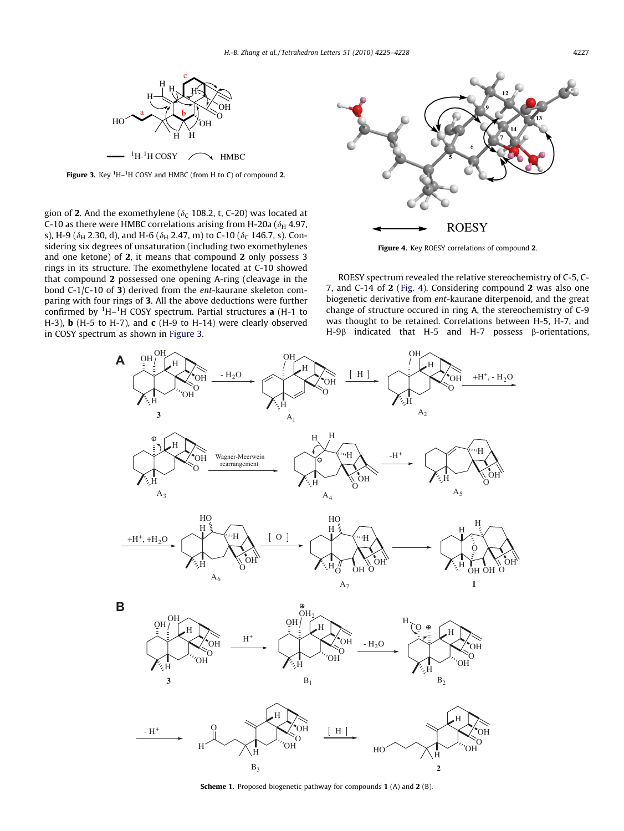<span id="page-2-0"></span>

Figure 3. Key  ${}^{1}$ H $-{}^{1}$ H COSY and HMBC (from H to C) of compound 2.

gion of 2. And the exomethylene ( $\delta_c$  108.2, t, C-20) was located at C-10 as there were HMBC correlations arising from H-20a ( $\delta_H$  4.97, s), H-9 ( $\delta_H$  2.30, d), and H-6 ( $\delta_H$  2.47, m) to C-10 ( $\delta_C$  146.7, s). Considering six degrees of unsaturation (including two exomethylenes and one ketone) of 2, it means that compound 2 only possess 3 rings in its structure. The exomethylene located at C-10 showed that compound 2 possessed one opening A-ring (cleavage in the bond C-1/C-10 of 3) derived from the ent-kaurane skeleton comparing with four rings of 3. All the above deductions were further confirmed by  ${}^{1}H-{}^{1}H$  COSY spectrum. Partial structures **a** (H-1 to H-3),  $\bf{b}$  (H-5 to H-7), and  $\bf{c}$  (H-9 to H-14) were clearly observed in COSY spectrum as shown in Figure 3.



Figure 4. Key ROESY correlations of compound 2.

ROESY spectrum revealed the relative stereochemistry of C-5, C-7, and C-14 of 2 (Fig. 4). Considering compound 2 was also one biogenetic derivative from ent-kaurane diterpenoid, and the great change of structure occured in ring A, the stereochemistry of C-9 was thought to be retained. Correlations between H-5, H-7, and H-9B indicated that H-5 and H-7 possess B-orientations,



Scheme 1. Proposed biogenetic pathway for compounds 1 (A) and 2 (B).

 $B_3$  2